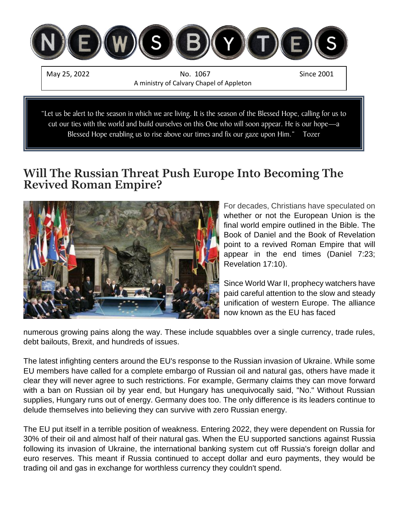

"Let us be alert to the season in which we are living. It is the season of the Blessed Hope, calling for us to cut our ties with the world and build ourselves on this One who will soon appear. He is our hope—a Blessed Hope enabling us to rise above our times and fix our gaze upon Him." Tozer

## **Will The Russian Threat Push Europe Into Becoming The Revived Roman Empire?**



For decades, Christians have speculated on whether or not the European Union is the final world empire outlined in the Bible. The Book of Daniel and the Book of Revelation point to a revived Roman Empire that will appear in the end times (Daniel 7:23; Revelation 17:10).

Since World War II, prophecy watchers have paid careful attention to the slow and steady unification of western Europe. The alliance now known as the EU has faced

numerous growing pains along the way. These include squabbles over a single currency, trade rules, debt bailouts, Brexit, and hundreds of issues.

The latest infighting centers around the EU's response to the Russian invasion of Ukraine. While some EU members have called for a complete embargo of Russian oil and natural gas, others have made it clear they will never agree to such restrictions. For example, Germany claims they can move forward with a ban on Russian oil by year end, but Hungary has unequivocally said, "No." Without Russian supplies, Hungary runs out of energy. Germany does too. The only difference is its leaders continue to delude themselves into believing they can survive with zero Russian energy.

The EU put itself in a terrible position of weakness. Entering 2022, they were dependent on Russia for 30% of their oil and almost half of their natural gas. When the EU supported sanctions against Russia following its invasion of Ukraine, the international banking system cut off Russia's foreign dollar and euro reserves. This meant if Russia continued to accept dollar and euro payments, they would be trading oil and gas in exchange for worthless currency they couldn't spend.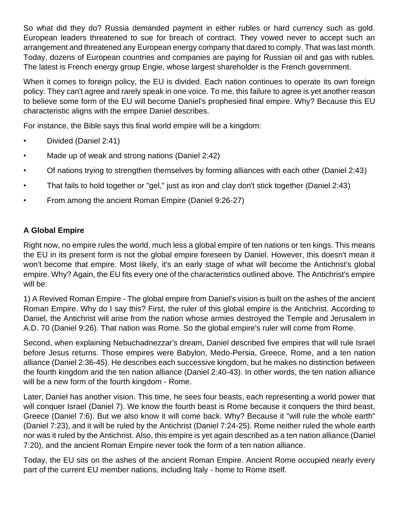So what did they do? Russia demanded payment in either rubles or hard currency such as gold. European leaders threatened to sue for breach of contract. They vowed never to accept such an arrangement and threatened any European energy company that dared to comply. That was last month. Today, dozens of European countries and companies are paying for Russian oil and gas with rubles. The latest is French energy group Engie, whose largest shareholder is the French government.

When it comes to foreign policy, the EU is divided. Each nation continues to operate its own foreign policy. They can't agree and rarely speak in one voice. To me, this failure to agree is yet another reason to believe some form of the EU will become Daniel's prophesied final empire. Why? Because this EU characteristic aligns with the empire Daniel describes.

For instance, the Bible says this final world empire will be a kingdom:

- Divided (Daniel 2:41)
- Made up of weak and strong nations (Daniel 2:42)
- Of nations trying to strengthen themselves by forming alliances with each other (Daniel 2:43)
- That fails to hold together or "gel," just as iron and clay don't stick together (Daniel 2:43)
- From among the ancient Roman Empire (Daniel 9:26-27)

### **A Global Empire**

Right now, no empire rules the world, much less a global empire of ten nations or ten kings. This means the EU in its present form is not the global empire foreseen by Daniel. However, this doesn't mean it won't become that empire. Most likely, it's an early stage of what will become the Antichrist's global empire. Why? Again, the EU fits every one of the characteristics outlined above. The Antichrist's empire will be:

1) A Revived Roman Empire - The global empire from Daniel's vision is built on the ashes of the ancient Roman Empire. Why do I say this? First, the ruler of this global empire is the Antichrist. According to Daniel, the Antichrist will arise from the nation whose armies destroyed the Temple and Jerusalem in A.D. 70 (Daniel 9:26). That nation was Rome. So the global empire's ruler will come from Rome.

Second, when explaining Nebuchadnezzar's dream, Daniel described five empires that will rule Israel before Jesus returns. Those empires were Babylon, Medo-Persia, Greece, Rome, and a ten nation alliance (Daniel 2:36-45). He describes each successive kingdom, but he makes no distinction between the fourth kingdom and the ten nation alliance (Daniel 2:40-43). In other words, the ten nation alliance will be a new form of the fourth kingdom - Rome.

Later, Daniel has another vision. This time, he sees four beasts, each representing a world power that will conquer Israel (Daniel 7). We know the fourth beast is Rome because it conquers the third beast, Greece (Daniel 7:6). But we also know it will come back. Why? Because it "will rule the whole earth" (Daniel 7:23), and it will be ruled by the Antichrist (Daniel 7:24-25). Rome neither ruled the whole earth nor was it ruled by the Antichrist. Also, this empire is yet again described as a ten nation alliance (Daniel 7:20), and the ancient Roman Empire never took the form of a ten nation alliance.

Today, the EU sits on the ashes of the ancient Roman Empire. Ancient Rome occupied nearly every part of the current EU member nations, including Italy - home to Rome itself.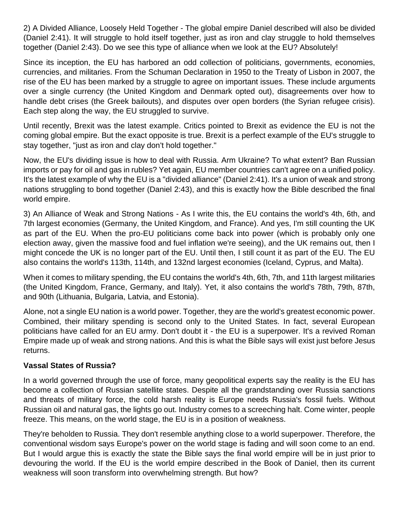2) A Divided Alliance, Loosely Held Together - The global empire Daniel described will also be divided (Daniel 2:41). It will struggle to hold itself together, just as iron and clay struggle to hold themselves together (Daniel 2:43). Do we see this type of alliance when we look at the EU? Absolutely!

Since its inception, the EU has harbored an odd collection of politicians, governments, economies, currencies, and militaries. From the Schuman Declaration in 1950 to the Treaty of Lisbon in 2007, the rise of the EU has been marked by a struggle to agree on important issues. These include arguments over a single currency (the United Kingdom and Denmark opted out), disagreements over how to handle debt crises (the Greek bailouts), and disputes over open borders (the Syrian refugee crisis). Each step along the way, the EU struggled to survive.

Until recently, Brexit was the latest example. Critics pointed to Brexit as evidence the EU is not the coming global empire. But the exact opposite is true. Brexit is a perfect example of the EU's struggle to stay together, "just as iron and clay don't hold together."

Now, the EU's dividing issue is how to deal with Russia. Arm Ukraine? To what extent? Ban Russian imports or pay for oil and gas in rubles? Yet again, EU member countries can't agree on a unified policy. It's the latest example of why the EU is a "divided alliance" (Daniel 2:41). It's a union of weak and strong nations struggling to bond together (Daniel 2:43), and this is exactly how the Bible described the final world empire.

3) An Alliance of Weak and Strong Nations - As I write this, the EU contains the world's 4th, 6th, and 7th largest economies (Germany, the United Kingdom, and France). And yes, I'm still counting the UK as part of the EU. When the pro-EU politicians come back into power (which is probably only one election away, given the massive food and fuel inflation we're seeing), and the UK remains out, then I might concede the UK is no longer part of the EU. Until then, I still count it as part of the EU. The EU also contains the world's 113th, 114th, and 132nd largest economies (Iceland, Cyprus, and Malta).

When it comes to military spending, the EU contains the world's 4th, 6th, 7th, and 11th largest militaries (the United Kingdom, France, Germany, and Italy). Yet, it also contains the world's 78th, 79th, 87th, and 90th (Lithuania, Bulgaria, Latvia, and Estonia).

Alone, not a single EU nation is a world power. Together, they are the world's greatest economic power. Combined, their military spending is second only to the United States. In fact, several European politicians have called for an EU army. Don't doubt it - the EU is a superpower. It's a revived Roman Empire made up of weak and strong nations. And this is what the Bible says will exist just before Jesus returns.

#### **Vassal States of Russia?**

In a world governed through the use of force, many geopolitical experts say the reality is the EU has become a collection of Russian satellite states. Despite all the grandstanding over Russia sanctions and threats of military force, the cold harsh reality is Europe needs Russia's fossil fuels. Without Russian oil and natural gas, the lights go out. Industry comes to a screeching halt. Come winter, people freeze. This means, on the world stage, the EU is in a position of weakness.

They're beholden to Russia. They don't resemble anything close to a world superpower. Therefore, the conventional wisdom says Europe's power on the world stage is fading and will soon come to an end. But I would argue this is exactly the state the Bible says the final world empire will be in just prior to devouring the world. If the EU is the world empire described in the Book of Daniel, then its current weakness will soon transform into overwhelming strength. But how?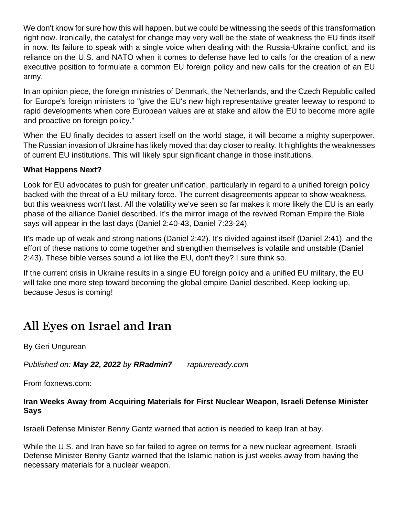We don't know for sure how this will happen, but we could be witnessing the seeds of this transformation right now. Ironically, the catalyst for change may very well be the state of weakness the EU finds itself in now. Its failure to speak with a single voice when dealing with the Russia-Ukraine conflict, and its reliance on the U.S. and NATO when it comes to defense have led to calls for the creation of a new executive position to formulate a common EU foreign policy and new calls for the creation of an EU army.

In an opinion piece, the foreign ministries of Denmark, the Netherlands, and the Czech Republic called for Europe's foreign ministers to "give the EU's new high representative greater leeway to respond to rapid developments when core European values are at stake and allow the EU to become more agile and proactive on foreign policy."

When the EU finally decides to assert itself on the world stage, it will become a mighty superpower. The Russian invasion of Ukraine has likely moved that day closer to reality. It highlights the weaknesses of current EU institutions. This will likely spur significant change in those institutions.

#### **What Happens Next?**

Look for EU advocates to push for greater unification, particularly in regard to a unified foreign policy backed with the threat of a EU military force. The current disagreements appear to show weakness, but this weakness won't last. All the volatility we've seen so far makes it more likely the EU is an early phase of the alliance Daniel described. It's the mirror image of the revived Roman Empire the Bible says will appear in the last days (Daniel 2:40-43, Daniel 7:23-24).

It's made up of weak and strong nations (Daniel 2:42). It's divided against itself (Daniel 2:41), and the effort of these nations to come together and strengthen themselves is volatile and unstable (Daniel 2:43). These bible verses sound a lot like the EU, don't they? I sure think so.

If the current crisis in Ukraine results in a single EU foreign policy and a unified EU military, the EU will take one more step toward becoming the global empire Daniel described. Keep looking up, because Jesus is coming!

# **All Eyes on Israel and Iran**

By Geri Ungurean

*Published on: [May 22, 2022](https://www.raptureready.com/2022/05/22/all-eyes-on-israel-and-iran-by-geri-ungurean/) by [RRadmin7](https://www.raptureready.com/author/todd/) raptureready.com*

From [foxnews.com:](https://www.foxnews.com/politics/iran-materials-first-nuclear-weapon-israeli-defense-minister)

### **Iran Weeks Away from Acquiring Materials for First Nuclear Weapon, Israeli Defense Minister Says**

Israeli Defense Minister Benny Gantz warned that action is needed to keep Iran at bay.

While the U.S. and [Iran](https://www.foxnews.com/category/world/conflicts/iran) have so far failed to agree on terms for a new nuclear agreement, Israeli Defense Minister Benny Gantz warned that the Islamic nation is just weeks away from having the necessary materials for a nuclear weapon.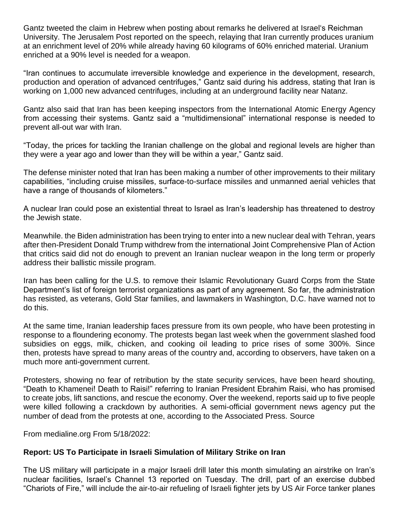Gantz [tweeted](https://twitter.com/gantzbe/status/1526507807440248833) the claim in Hebrew when posting about remarks he delivered at [Israel'](https://www.foxnews.com/category/world/world-regions/israel)s Reichman University. [The Jerusalem Post](https://www.jpost.com/israel-news/article-706906) reported on the speech, relaying that Iran currently produces uranium at an enrichment level of 20% while already having 60 kilograms of 60% enriched material. Uranium enriched at a 90% level is needed for a weapon.

"Iran continues to accumulate irreversible knowledge and experience in the development, research, production and operation of advanced centrifuges," Gantz said during his address, stating that Iran is working on 1,000 new advanced centrifuges, including at an underground facility near Natanz.

Gantz also said that Iran has been keeping inspectors from the International Atomic Energy Agency from accessing their systems. Gantz said a "multidimensional" international response is needed to prevent all-out war with Iran.

"Today, the prices for tackling the Iranian challenge on the global and regional levels are higher than they were a year ago and lower than they will be within a year," Gantz said.

The defense minister noted that Iran has been making a number of other improvements to their military capabilities, "including cruise missiles, surface-to-surface missiles and unmanned aerial vehicles that have a range of thousands of kilometers."

A nuclear Iran could pose an existential threat to Israel as Iran's leadership has threatened to destroy the Jewish state.

Meanwhile. the Biden administration has been trying to enter into a new nuclear deal with Tehran, years after then-President Donald Trump withdrew from the international Joint Comprehensive Plan of Action that critics said did not do enough to prevent an Iranian nuclear weapon in the long term or properly address their ballistic missile program.

Iran has been calling for the U.S. to remove their Islamic Revolutionary Guard Corps from the State Department's list of foreign terrorist organizations as part of any agreement. So far, the administration has resisted, as veterans, Gold Star families, and lawmakers in Washington, D.C. have warned not to do this.

At the same time, Iranian leadership faces pressure from its own people, who have been protesting in response to a floundering economy. The protests began last week when the government slashed food subsidies on eggs, milk, chicken, and cooking oil leading to price rises of some 300%. Since then, [protests](https://www.foxnews.com/category/world/conflicts/iran) have spread to many areas of the country and, according to observers, have taken on a much more anti-government current.

Protesters, showing no fear of retribution by the state security services, have been heard shouting, "Death to [Khamenei!](https://www.foxnews.com/category/world/conflicts/iran) Death to Raisi!" referring to Iranian President Ebrahim Raisi, who has promised to create jobs, lift sanctions, and rescue the economy. Over the weekend, reports said up to five people were killed following a crackdown by authorities. A semi-official government news agency put the number of dead from the protests at one, according to the Associated Press. [Source](https://www.foxnews.com/politics/iran-materials-first-nuclear-weapon-israeli-defense-minister)

From [medialine.org](https://themedialine.org/mideast-daily-news/report-us-to-participate-in-israeli-simulation-of-military-strike-on-iran/) From 5/18/2022:

#### **Report: US To Participate in Israeli Simulation of Military Strike on Iran**

The US military will participate in a major Israeli drill later this month simulating an airstrike on Iran's nuclear facilities, Israel's Channel 13 reported on Tuesday. The drill, part of an exercise dubbed "Chariots of Fire," will include the air-to-air refueling of Israeli fighter jets by US Air Force tanker planes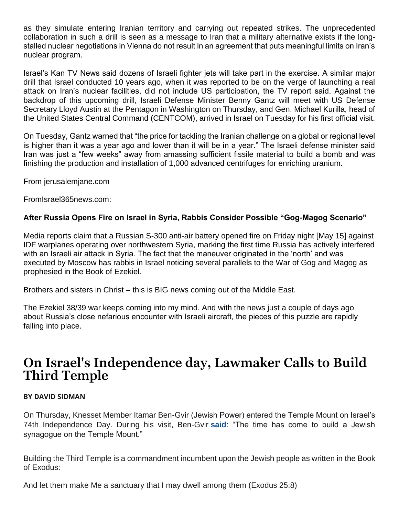as they simulate entering Iranian territory and carrying out repeated strikes. The unprecedented collaboration in such a drill is seen as a message to Iran that a military alternative exists if the longstalled nuclear negotiations in Vienna do not result in an agreement that puts meaningful limits on Iran's nuclear program.

Israel's Kan TV News said dozens of Israeli fighter jets will take part in the exercise. A similar major drill that Israel conducted 10 years ago, when it was reported to be on the verge of launching a real attack on Iran's nuclear facilities, did not include US participation, the TV report said. Against the backdrop of this upcoming drill, Israeli Defense Minister Benny Gantz will meet with US Defense Secretary Lloyd Austin at the Pentagon in Washington on Thursday, and Gen. Michael Kurilla, head of the United States Central Command (CENTCOM), arrived in Israel on Tuesday for his first official visit.

On Tuesday, Gantz warned that "the price for tackling the Iranian challenge on a global or regional level is higher than it was a year ago and lower than it will be in a year." The Israeli defense minister said Iran was just a "few weeks" away from amassing sufficient fissile material to build a bomb and was finishing the production and installation of 1,000 advanced centrifuges for enriching uranium.

From [jerusalemjane.com](https://www.youtube.com/watch?v=QcEOMdOR8U4)

Fro[mIsrael365news.com:](https://www.israel365news.com/269505/after-russia-opens-fire-on-israel-in-syria-rabbis-consider-possible-gog-magog-scenario/)

### **After Russia Opens Fire on Israel in Syria, Rabbis Consider Possible "Gog-Magog Scenario"**

Media reports claim that a Russian S-300 anti-air battery opened fire on Friday night [May 15] against IDF warplanes operating over northwestern Syria, marking the first time Russia has actively interfered with an Israeli air attack in Syria. The fact that the maneuver originated in the 'north' and was executed by Moscow has rabbis in Israel noticing several parallels to the War of Gog and Magog as prophesied in the Book of Ezekiel.

Brothers and sisters in Christ – this is BIG news coming out of the Middle East.

The Ezekiel 38/39 war keeps coming into my mind. And with the news just a couple of days ago about Russia's close nefarious encounter with Israeli aircraft, the pieces of this puzzle are rapidly falling into place.

# **On Israel's Independence day, Lawmaker Calls to Build Third Temple**

#### **BY DAVID [SIDMAN](https://www.israel365news.com/author/davidsilman/)**

On Thursday, Knesset Member Itamar Ben-Gvir (Jewish Power) entered the Temple Mount on Israel's 74th Independence Day. During his visit, Ben-Gvir **[said](https://twitter.com/yonibmen/status/1522088136888750081/photo/1)**: "The time has come to build a Jewish synagogue on the Temple Mount."

Building the Third Temple is a commandment incumbent upon the Jewish people as written in the Book of Exodus:

And let them make Me a sanctuary that I may dwell among them (Exodus 25:8)